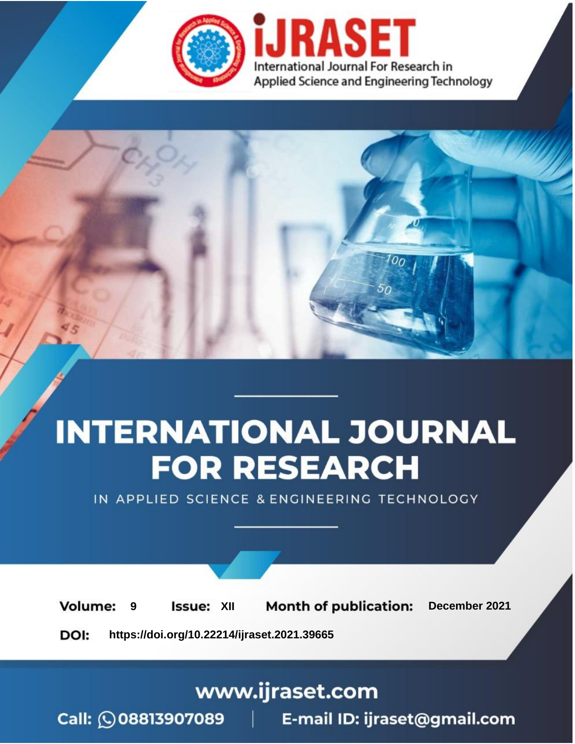



IN APPLIED SCIENCE & ENGINEERING TECHNOLOGY

**9 Issue:** XII **Month of publication:** December 2021 **Volume: https://doi.org/10.22214/ijraset.2021.39665**DOI:

www.ijraset.com

Call: 008813907089 | E-mail ID: ijraset@gmail.com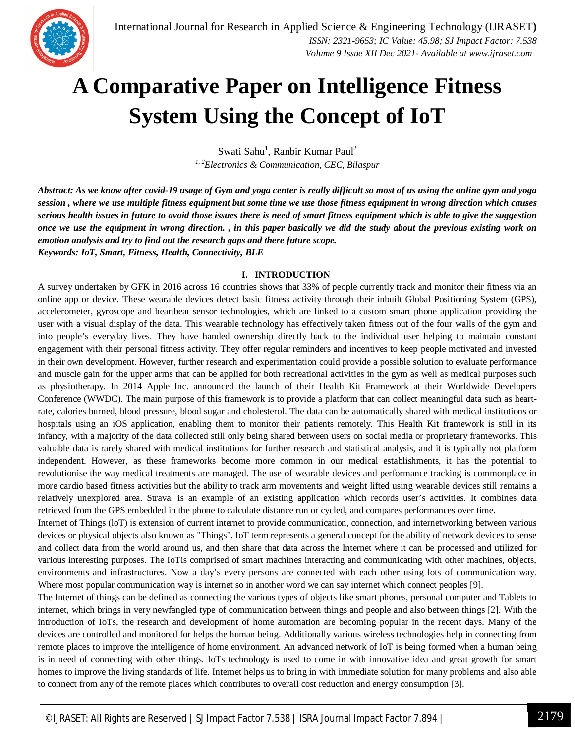

# **A Comparative Paper on Intelligence Fitness System Using the Concept of IoT**

Swati Sahu<sup>1</sup>, Ranbir Kumar Paul<sup>2</sup> *1, 2Electronics & Communication, CEC, Bilaspur*

*Abstract: As we know after covid-19 usage of Gym and yoga center is really difficult so most of us using the online gym and yoga session , where we use multiple fitness equipment but some time we use those fitness equipment in wrong direction which causes serious health issues in future to avoid those issues there is need of smart fitness equipment which is able to give the suggestion once we use the equipment in wrong direction. , in this paper basically we did the study about the previous existing work on emotion analysis and try to find out the research gaps and there future scope. Keywords: IoT, Smart, Fitness, Health, Connectivity, BLE*

# **I. INTRODUCTION**

A survey undertaken by GFK in 2016 across 16 countries shows that 33% of people currently track and monitor their fitness via an online app or device. These wearable devices detect basic fitness activity through their inbuilt Global Positioning System (GPS), accelerometer, gyroscope and heartbeat sensor technologies, which are linked to a custom smart phone application providing the user with a visual display of the data. This wearable technology has effectively taken fitness out of the four walls of the gym and into people's everyday lives. They have handed ownership directly back to the individual user helping to maintain constant engagement with their personal fitness activity. They offer regular reminders and incentives to keep people motivated and invested in their own development. However, further research and experimentation could provide a possible solution to evaluate performance and muscle gain for the upper arms that can be applied for both recreational activities in the gym as well as medical purposes such as physiotherapy. In 2014 Apple Inc. announced the launch of their Health Kit Framework at their Worldwide Developers Conference (WWDC). The main purpose of this framework is to provide a platform that can collect meaningful data such as heartrate, calories burned, blood pressure, blood sugar and cholesterol. The data can be automatically shared with medical institutions or hospitals using an iOS application, enabling them to monitor their patients remotely. This Health Kit framework is still in its infancy, with a majority of the data collected still only being shared between users on social media or proprietary frameworks. This valuable data is rarely shared with medical institutions for further research and statistical analysis, and it is typically not platform independent. However, as these frameworks become more common in our medical establishments, it has the potential to revolutionise the way medical treatments are managed. The use of wearable devices and performance tracking is commonplace in more cardio based fitness activities but the ability to track arm movements and weight lifted using wearable devices still remains a relatively unexplored area. Strava, is an example of an existing application which records user's activities. It combines data retrieved from the GPS embedded in the phone to calculate distance run or cycled, and compares performances over time.

Internet of Things (loT) is extension of current internet to provide communication, connection, and internetworking between various devices or physical objects also known as "Things". IoT term represents a general concept for the ability of network devices to sense and collect data from the world around us, and then share that data across the Internet where it can be processed and utilized for various interesting purposes. The IoTis comprised of smart machines interacting and communicating with other machines, objects, environments and infrastructures. Now a day's every persons are connected with each other using lots of communication way. Where most popular communication way is internet so in another word we can say internet which connect peoples [9].

The Internet of things can be defined as connecting the various types of objects like smart phones, personal computer and Tablets to internet, which brings in very newfangled type of communication between things and people and also between things [2]. With the introduction of IoTs, the research and development of home automation are becoming popular in the recent days. Many of the devices are controlled and monitored for helps the human being. Additionally various wireless technologies help in connecting from remote places to improve the intelligence of home environment. An advanced network of IoT is being formed when a human being is in need of connecting with other things. IoTs technology is used to come in with innovative idea and great growth for smart homes to improve the living standards of life. Internet helps us to bring in with immediate solution for many problems and also able to connect from any of the remote places which contributes to overall cost reduction and energy consumption [3].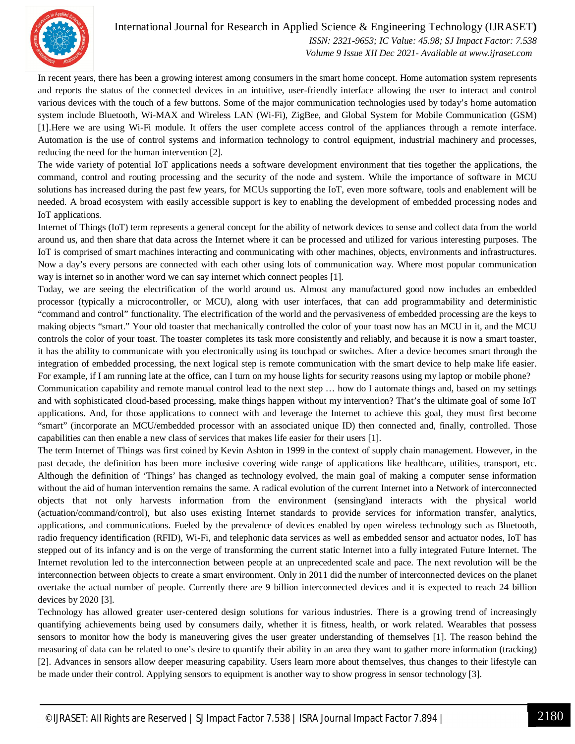

 *Volume 9 Issue XII Dec 2021- Available at www.ijraset.com*

In recent years, there has been a growing interest among consumers in the smart home concept. Home automation system represents and reports the status of the connected devices in an intuitive, user-friendly interface allowing the user to interact and control various devices with the touch of a few buttons. Some of the major communication technologies used by today's home automation system include Bluetooth, Wi-MAX and Wireless LAN (Wi-Fi), ZigBee, and Global System for Mobile Communication (GSM) [1].Here we are using Wi-Fi module. It offers the user complete access control of the appliances through a remote interface. Automation is the use of control systems and information technology to control equipment, industrial machinery and processes, reducing the need for the human intervention [2].

The wide variety of potential IoT applications needs a software development environment that ties together the applications, the command, control and routing processing and the security of the node and system. While the importance of software in MCU solutions has increased during the past few years, for MCUs supporting the IoT, even more software, tools and enablement will be needed. A broad ecosystem with easily accessible support is key to enabling the development of embedded processing nodes and IoT applications.

Internet of Things (IoT) term represents a general concept for the ability of network devices to sense and collect data from the world around us, and then share that data across the Internet where it can be processed and utilized for various interesting purposes. The IoT is comprised of smart machines interacting and communicating with other machines, objects, environments and infrastructures. Now a day's every persons are connected with each other using lots of communication way. Where most popular communication way is internet so in another word we can say internet which connect peoples [1].

Today, we are seeing the electrification of the world around us. Almost any manufactured good now includes an embedded processor (typically a microcontroller, or MCU), along with user interfaces, that can add programmability and deterministic "command and control" functionality. The electrification of the world and the pervasiveness of embedded processing are the keys to making objects "smart." Your old toaster that mechanically controlled the color of your toast now has an MCU in it, and the MCU controls the color of your toast. The toaster completes its task more consistently and reliably, and because it is now a smart toaster, it has the ability to communicate with you electronically using its touchpad or switches. After a device becomes smart through the integration of embedded processing, the next logical step is remote communication with the smart device to help make life easier. For example, if I am running late at the office, can I turn on my house lights for security reasons using my laptop or mobile phone?

Communication capability and remote manual control lead to the next step … how do I automate things and, based on my settings and with sophisticated cloud-based processing, make things happen without my intervention? That's the ultimate goal of some IoT applications. And, for those applications to connect with and leverage the Internet to achieve this goal, they must first become "smart" (incorporate an MCU/embedded processor with an associated unique ID) then connected and, finally, controlled. Those capabilities can then enable a new class of services that makes life easier for their users [1].

The term Internet of Things was first coined by Kevin Ashton in 1999 in the context of supply chain management. However, in the past decade, the definition has been more inclusive covering wide range of applications like healthcare, utilities, transport, etc. Although the definition of 'Things' has changed as technology evolved, the main goal of making a computer sense information without the aid of human intervention remains the same. A radical evolution of the current Internet into a Network of interconnected objects that not only harvests information from the environment (sensing)and interacts with the physical world (actuation/command/control), but also uses existing Internet standards to provide services for information transfer, analytics, applications, and communications. Fueled by the prevalence of devices enabled by open wireless technology such as Bluetooth, radio frequency identification (RFID), Wi-Fi, and telephonic data services as well as embedded sensor and actuator nodes, IoT has stepped out of its infancy and is on the verge of transforming the current static Internet into a fully integrated Future Internet. The Internet revolution led to the interconnection between people at an unprecedented scale and pace. The next revolution will be the interconnection between objects to create a smart environment. Only in 2011 did the number of interconnected devices on the planet overtake the actual number of people. Currently there are 9 billion interconnected devices and it is expected to reach 24 billion devices by 2020 [3].

Technology has allowed greater user-centered design solutions for various industries. There is a growing trend of increasingly quantifying achievements being used by consumers daily, whether it is fitness, health, or work related. Wearables that possess sensors to monitor how the body is maneuvering gives the user greater understanding of themselves [1]. The reason behind the measuring of data can be related to one's desire to quantify their ability in an area they want to gather more information (tracking) [2]. Advances in sensors allow deeper measuring capability. Users learn more about themselves, thus changes to their lifestyle can be made under their control. Applying sensors to equipment is another way to show progress in sensor technology [3].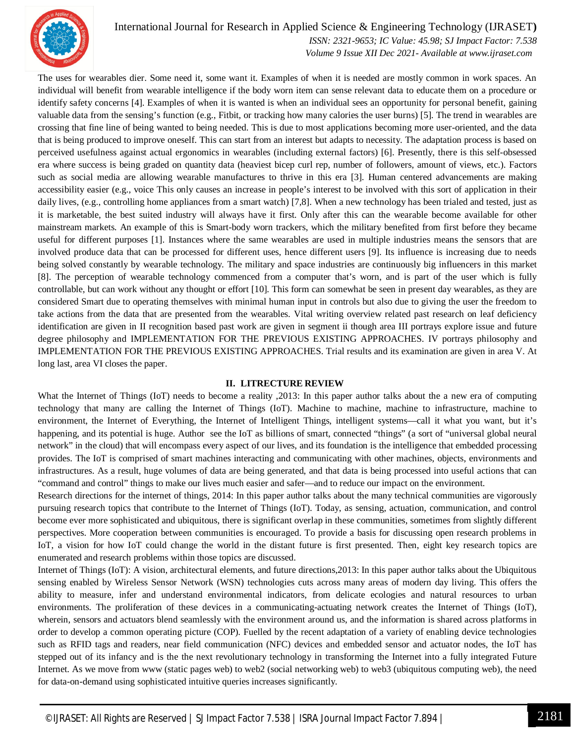

# International Journal for Research in Applied Science & Engineering Technology (IJRASET**)**

 *ISSN: 2321-9653; IC Value: 45.98; SJ Impact Factor: 7.538 Volume 9 Issue XII Dec 2021- Available at www.ijraset.com*

The uses for wearables dier. Some need it, some want it. Examples of when it is needed are mostly common in work spaces. An individual will benefit from wearable intelligence if the body worn item can sense relevant data to educate them on a procedure or identify safety concerns [4]. Examples of when it is wanted is when an individual sees an opportunity for personal benefit, gaining valuable data from the sensing's function (e.g., Fitbit, or tracking how many calories the user burns) [5]. The trend in wearables are crossing that fine line of being wanted to being needed. This is due to most applications becoming more user-oriented, and the data that is being produced to improve oneself. This can start from an interest but adapts to necessity. The adaptation process is based on perceived usefulness against actual ergonomics in wearables (including external factors) [6]. Presently, there is this self-obsessed era where success is being graded on quantity data (heaviest bicep curl rep, number of followers, amount of views, etc.). Factors such as social media are allowing wearable manufactures to thrive in this era [3]. Human centered advancements are making accessibility easier (e.g., voice This only causes an increase in people's interest to be involved with this sort of application in their daily lives, (e.g., controlling home appliances from a smart watch) [7,8]. When a new technology has been trialed and tested, just as it is marketable, the best suited industry will always have it first. Only after this can the wearable become available for other mainstream markets. An example of this is Smart-body worn trackers, which the military benefited from first before they became useful for different purposes [1]. Instances where the same wearables are used in multiple industries means the sensors that are involved produce data that can be processed for different uses, hence different users [9]. Its influence is increasing due to needs being solved constantly by wearable technology. The military and space industries are continuously big influencers in this market [8]. The perception of wearable technology commenced from a computer that's worn, and is part of the user which is fully controllable, but can work without any thought or effort [10]. This form can somewhat be seen in present day wearables, as they are considered Smart due to operating themselves with minimal human input in controls but also due to giving the user the freedom to take actions from the data that are presented from the wearables. Vital writing overview related past research on leaf deficiency identification are given in II recognition based past work are given in segment ii though area III portrays explore issue and future degree philosophy and IMPLEMENTATION FOR THE PREVIOUS EXISTING APPROACHES. IV portrays philosophy and IMPLEMENTATION FOR THE PREVIOUS EXISTING APPROACHES. Trial results and its examination are given in area V. At long last, area VI closes the paper.

### **II. LITRECTURE REVIEW**

What the Internet of Things (IoT) needs to become a reality ,2013: In this paper author talks about the a new era of computing technology that many are calling the Internet of Things (IoT). Machine to machine, machine to infrastructure, machine to environment, the Internet of Everything, the Internet of Intelligent Things, intelligent systems—call it what you want, but it's happening, and its potential is huge. Author see the IoT as billions of smart, connected "things" (a sort of "universal global neural network" in the cloud) that will encompass every aspect of our lives, and its foundation is the intelligence that embedded processing provides. The IoT is comprised of smart machines interacting and communicating with other machines, objects, environments and infrastructures. As a result, huge volumes of data are being generated, and that data is being processed into useful actions that can "command and control" things to make our lives much easier and safer—and to reduce our impact on the environment.

Research directions for the internet of things, 2014: In this paper author talks about the many technical communities are vigorously pursuing research topics that contribute to the Internet of Things (IoT). Today, as sensing, actuation, communication, and control become ever more sophisticated and ubiquitous, there is significant overlap in these communities, sometimes from slightly different perspectives. More cooperation between communities is encouraged. To provide a basis for discussing open research problems in IoT, a vision for how IoT could change the world in the distant future is first presented. Then, eight key research topics are enumerated and research problems within those topics are discussed.

Internet of Things (IoT): A vision, architectural elements, and future directions,2013: In this paper author talks about the Ubiquitous sensing enabled by Wireless Sensor Network (WSN) technologies cuts across many areas of modern day living. This offers the ability to measure, infer and understand environmental indicators, from delicate ecologies and natural resources to urban environments. The proliferation of these devices in a communicating-actuating network creates the Internet of Things (IoT), wherein, sensors and actuators blend seamlessly with the environment around us, and the information is shared across platforms in order to develop a common operating picture (COP). Fuelled by the recent adaptation of a variety of enabling device technologies such as RFID tags and readers, near field communication (NFC) devices and embedded sensor and actuator nodes, the IoT has stepped out of its infancy and is the the next revolutionary technology in transforming the Internet into a fully integrated Future Internet. As we move from www (static pages web) to web2 (social networking web) to web3 (ubiquitous computing web), the need for data-on-demand using sophisticated intuitive queries increases significantly.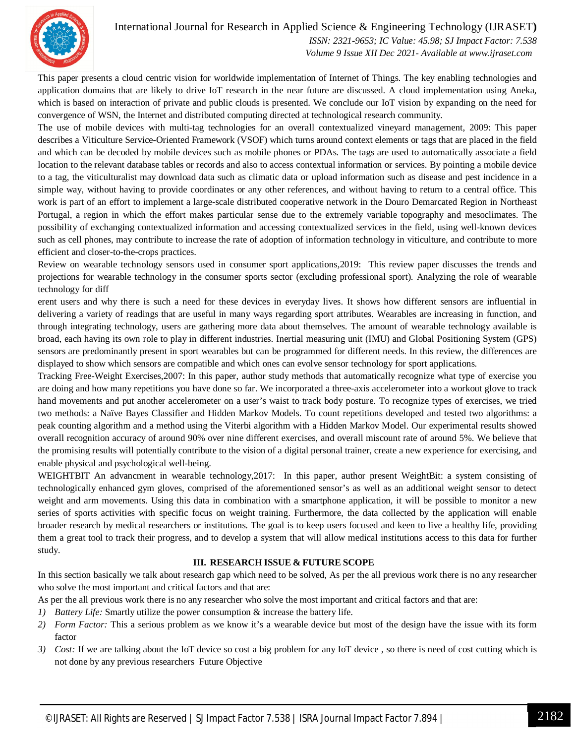# International Journal for Research in Applied Science & Engineering Technology (IJRASET**)**



 *ISSN: 2321-9653; IC Value: 45.98; SJ Impact Factor: 7.538 Volume 9 Issue XII Dec 2021- Available at www.ijraset.com*

This paper presents a cloud centric vision for worldwide implementation of Internet of Things. The key enabling technologies and application domains that are likely to drive IoT research in the near future are discussed. A cloud implementation using Aneka, which is based on interaction of private and public clouds is presented. We conclude our IoT vision by expanding on the need for convergence of WSN, the Internet and distributed computing directed at technological research community.

The use of mobile devices with multi-tag technologies for an overall contextualized vineyard management, 2009: This paper describes a Viticulture Service-Oriented Framework (VSOF) which turns around context elements or tags that are placed in the field and which can be decoded by mobile devices such as mobile phones or PDAs. The tags are used to automatically associate a field location to the relevant database tables or records and also to access contextual information or services. By pointing a mobile device to a tag, the viticulturalist may download data such as climatic data or upload information such as disease and pest incidence in a simple way, without having to provide coordinates or any other references, and without having to return to a central office. This work is part of an effort to implement a large-scale distributed cooperative network in the Douro Demarcated Region in Northeast Portugal, a region in which the effort makes particular sense due to the extremely variable topography and mesoclimates. The possibility of exchanging contextualized information and accessing contextualized services in the field, using well-known devices such as cell phones, may contribute to increase the rate of adoption of information technology in viticulture, and contribute to more efficient and closer-to-the-crops practices.

Review on wearable technology sensors used in consumer sport applications,2019: This review paper discusses the trends and projections for wearable technology in the consumer sports sector (excluding professional sport). Analyzing the role of wearable technology for diff

erent users and why there is such a need for these devices in everyday lives. It shows how different sensors are influential in delivering a variety of readings that are useful in many ways regarding sport attributes. Wearables are increasing in function, and through integrating technology, users are gathering more data about themselves. The amount of wearable technology available is broad, each having its own role to play in different industries. Inertial measuring unit (IMU) and Global Positioning System (GPS) sensors are predominantly present in sport wearables but can be programmed for different needs. In this review, the differences are displayed to show which sensors are compatible and which ones can evolve sensor technology for sport applications.

Tracking Free-Weight Exercises,2007: In this paper, author study methods that automatically recognize what type of exercise you are doing and how many repetitions you have done so far. We incorporated a three-axis accelerometer into a workout glove to track hand movements and put another accelerometer on a user's waist to track body posture. To recognize types of exercises, we tried two methods: a Naïve Bayes Classifier and Hidden Markov Models. To count repetitions developed and tested two algorithms: a peak counting algorithm and a method using the Viterbi algorithm with a Hidden Markov Model. Our experimental results showed overall recognition accuracy of around 90% over nine different exercises, and overall miscount rate of around 5%. We believe that the promising results will potentially contribute to the vision of a digital personal trainer, create a new experience for exercising, and enable physical and psychological well-being.

WEIGHTBIT An advancment in wearable technology, 2017: In this paper, author present WeightBit: a system consisting of technologically enhanced gym gloves, comprised of the aforementioned sensor's as well as an additional weight sensor to detect weight and arm movements. Using this data in combination with a smartphone application, it will be possible to monitor a new series of sports activities with specific focus on weight training. Furthermore, the data collected by the application will enable broader research by medical researchers or institutions. The goal is to keep users focused and keen to live a healthy life, providing them a great tool to track their progress, and to develop a system that will allow medical institutions access to this data for further study.

### **III. RESEARCH ISSUE & FUTURE SCOPE**

In this section basically we talk about research gap which need to be solved, As per the all previous work there is no any researcher who solve the most important and critical factors and that are:

As per the all previous work there is no any researcher who solve the most important and critical factors and that are:

- *1) Battery Life:* Smartly utilize the power consumption & increase the battery life.
- *2) Form Factor:* This a serious problem as we know it's a wearable device but most of the design have the issue with its form factor
- *3) Cost:* If we are talking about the IoT device so cost a big problem for any IoT device , so there is need of cost cutting which is not done by any previous researchers Future Objective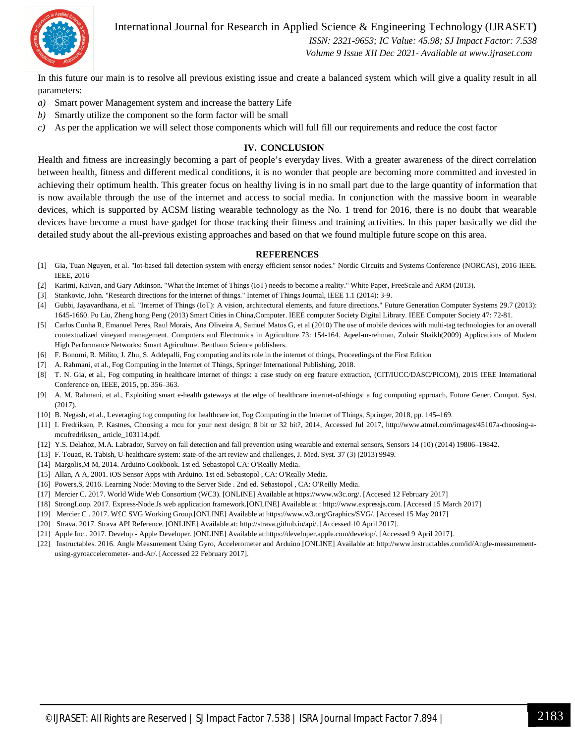

International Journal for Research in Applied Science & Engineering Technology (IJRASET**)**

 *ISSN: 2321-9653; IC Value: 45.98; SJ Impact Factor: 7.538 Volume 9 Issue XII Dec 2021- Available at www.ijraset.com*

In this future our main is to resolve all previous existing issue and create a balanced system which will give a quality result in all parameters:

- *a)* Smart power Management system and increase the battery Life
- *b)* Smartly utilize the component so the form factor will be small
- *c)* As per the application we will select those components which will full fill our requirements and reduce the cost factor

## **IV. CONCLUSION**

Health and fitness are increasingly becoming a part of people's everyday lives. With a greater awareness of the direct correlation between health, fitness and different medical conditions, it is no wonder that people are becoming more committed and invested in achieving their optimum health. This greater focus on healthy living is in no small part due to the large quantity of information that is now available through the use of the internet and access to social media. In conjunction with the massive boom in wearable devices, which is supported by ACSM listing wearable technology as the No. 1 trend for 2016, there is no doubt that wearable devices have become a must have gadget for those tracking their fitness and training activities. In this paper basically we did the detailed study about the all-previous existing approaches and based on that we found multiple future scope on this area.

#### **REFERENCES**

- [1] Gia, Tuan Nguyen, et al. "Iot-based fall detection system with energy efficient sensor nodes." Nordic Circuits and Systems Conference (NORCAS), 2016 IEEE. IEEE, 2016
- [2] Karimi, Kaivan, and Gary Atkinson. "What the Internet of Things (IoT) needs to become a reality." White Paper, FreeScale and ARM (2013).
- [3] Stankovic, John. "Research directions for the internet of things." Internet of Things Journal, IEEE 1.1 (2014): 3-9.
- [4] Gubbi, Jayavardhana, et al. "Internet of Things (IoT): A vision, architectural elements, and future directions." Future Generation Computer Systems 29.7 (2013): 1645-1660. Pu Liu, Zheng hong Peng (2013) Smart Cities in China,Computer. IEEE computer Society Digital Library. IEEE Computer Society 47: 72-81.
- [5] Carlos Cunha R, Emanuel Peres, Raul Morais, Ana Oliveira A, Samuel Matos G, et al (2010) The use of mobile devices with multi-tag technologies for an overall contextualized vineyard management. Computers and Electronics in Agriculture 73: 154-164. Aqeel-ur-rehman, Zubair Shaikh(2009) Applications of Modern High Performance Networks: Smart Agriculture. Bentham Science publishers.
- [6] F. Bonomi, R. Milito, J. Zhu, S. Addepalli, Fog computing and its role in the internet of things, Proceedings of the First Edition
- [7] A. Rahmani, et al., Fog Computing in the Internet of Things, Springer International Publishing, 2018.
- [8] T. N. Gia, et al., Fog computing in healthcare internet of things: a case study on ecg feature extraction, (CIT/IUCC/DASC/PICOM), 2015 IEEE International Conference on, IEEE, 2015, pp. 356–363.
- [9] A. M. Rahmani, et al., Exploiting smart e-health gateways at the edge of healthcare internet-of-things: a fog computing approach, Future Gener. Comput. Syst. (2017).
- [10] B. Negash, et al., Leveraging fog computing for healthcare iot, Fog Computing in the Internet of Things, Springer, 2018, pp. 145–169.
- [11] I. Fredriksen, P. Kastnes, Choosing a mcu for your next design; 8 bit or 32 bit?, 2014, Accessed Jul 2017, http://www.atmel.com/images/45107a-choosing-amcufredriksen\_ article\_103114.pdf.
- [12] Y.S. Delahoz, M.A. Labrador, Survey on fall detection and fall prevention using wearable and external sensors, Sensors 14 (10) (2014) 19806–19842.
- [13] F. Touati, R. Tabish, U-healthcare system: state-of-the-art review and challenges, J. Med. Syst. 37 (3) (2013) 9949.
- [14] Margolis,M M, 2014. Arduino Cookbook. 1st ed. Sebastopol CA: O'Really Media.
- [15] Allan, A A, 2001. iOS Sensor Apps with Arduino. 1st ed. Sebastopol , CA: O'Really Media.
- [16] Powers,S, 2016. Learning Node: Moving to the Server Side . 2nd ed. Sebastopol , CA: O'Reilly Media.
- [17] Mercier C. 2017. World Wide Web Consortium (WC3). [ONLINE] Available at https://www.w3c.org/. [Accesed 12 February 2017]
- [18] StrongLoop. 2017. Express-Node.Js web application framework.[ONLINE] Available at : http://www.expressjs.com. [Accesed 15 March 2017]
- [19] Mercier C . 2017. W£C SVG Working Group.[ONLINE] Available at https://www.w3.org/Graphics/SVG/. [Accesed 15 May 2017]
- [20] Strava. 2017. Strava API Reference. [ONLINE] Available at: http://strava.github.io/api/. [Accessed 10 April 2017].
- [21] Apple Inc.. 2017. Develop Apple Developer. [ONLINE] Available at:https://developer.apple.com/develop/. [Accessed 9 April 2017].
- [22] Instructables. 2016. Angle Measurement Using Gyro, Accelerometer and Arduino [ONLINE] Available at: http://www.instructables.com/id/Angle-measurementusing-gyroaccelerometer- and-Ar/. [Accessed 22 February 2017].